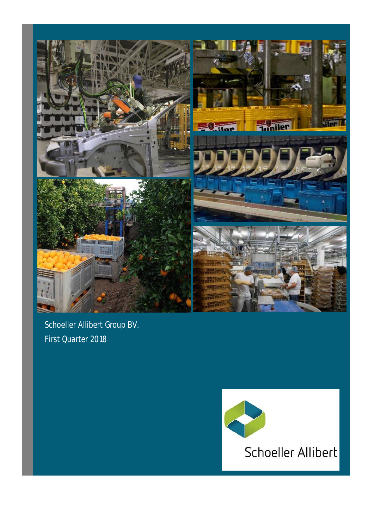

Schoeller Allibert Group BV. First Quarter 2018

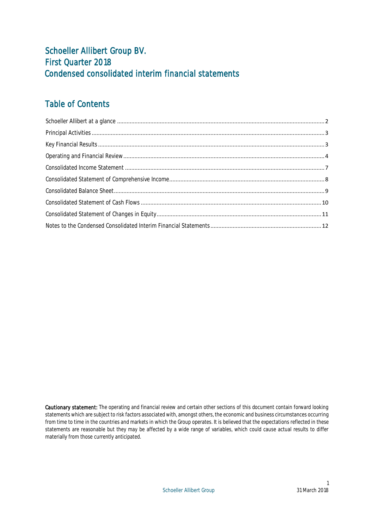## Schoeller Allibert Group BV. First Quarter 2018 Condensed consolidated interim financial statements

## Table of Contents

Cautionary statement: The operating and financial review and certain other sections of this document contain forward looking statements which are subject to risk factors associated with, amongst others, the economic and business circumstances occurring from time to time in the countries and markets in which the Group operates. It is believed that the expectations reflected in these statements are reasonable but they may be affected by a wide range of variables, which could cause actual results to differ materially from those currently anticipated.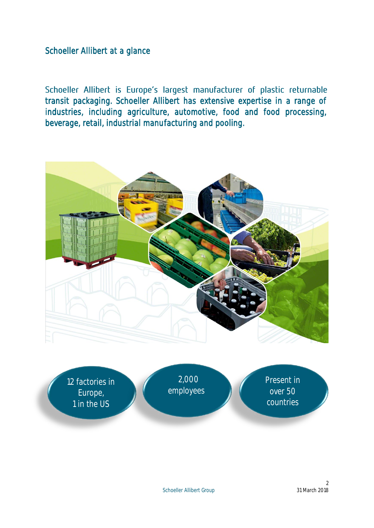<span id="page-2-0"></span>Schoeller Allibert at a glance

Schoeller Allibert is Europe's largest manufacturer of plastic returnable transit packaging. Schoeller Allibert has extensive expertise in a range of industries, including agriculture, automotive, food and food processing, beverage, retail, industrial manufacturing and pooling.



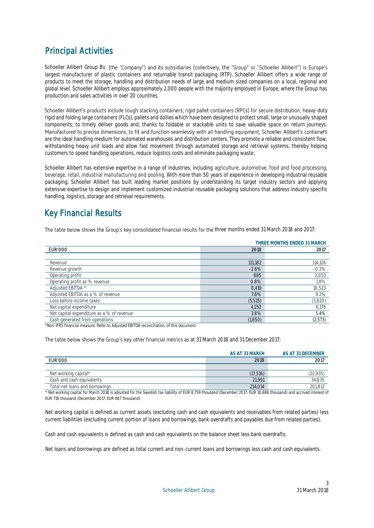## <span id="page-3-0"></span>Principal Activities

Schoeller Allibert Group BV. (the "Company") and its subsidiaries (collectively, the "Group" or "Schoeller Allibert") is Europe's largest manufacturer of plastic containers and returnable transit packaging (RTP). Schoeller Allibert offers a wide range of products to meet the storage, handling and distribution needs of large and medium sized companies on a local, regional and global level. Schoeller Allibert employs approximately 2,000 people with the majority employed in Europe, where the Group has production and sales activities in over 20 countries.

Schoeller Allibert's products include tough stacking containers, rigid pallet containers (RPCs) for secure distribution, heavy-duty rigid and folding large containers (FLCs), pallets and dollies which have been designed to protect small, large or unusually shaped components; to timely deliver goods and, thanks to foldable or stackable units to save valuable space on return journeys. Manufactured to precise dimensions, to fit and function seamlessly with all handling equipment, Schoeller Allibert's containers are the ideal handling medium for automated warehouses and distribution centers. They promote a reliable and consistent flow, withstanding heavy unit loads and allow fast movement through automated storage and retrieval systems, thereby helping customers to speed handling operations, reduce logistics costs and eliminate packaging waste.

Schoeller Allibert has extensive expertise in a range of industries, including agriculture, automotive, food and food processing, beverage, retail, industrial manufacturing and pooling. With more than 50 years of experience in developing industrial reusable packaging, Schoeller Allibert has built leading market positions by understanding its target industry sectors and applying extensive expertise to design and implement customized industrial reusable packaging solutions that address industry specific handling, logistics, storage and retrieval requirements.

## <span id="page-3-1"></span>Key Financial Results

The table below shows the Group's key consolidated financial results for the three months ended 31 March 2018 and 2017:

|                                           |          | THREE MONTHS ENDED 31 MARCH |  |  |
|-------------------------------------------|----------|-----------------------------|--|--|
| <b>EUR'000</b>                            | 2018     | 2017                        |  |  |
|                                           |          |                             |  |  |
| Revenue                                   | 111,182  | 114,126                     |  |  |
| Revenue growth                            | $-2.6%$  | $-0.3%$                     |  |  |
| Operating profit                          | 885      | 2,053                       |  |  |
| Operating profit as % revenue             | 0.8%     | 1.8%                        |  |  |
| Adjusted EBITDA *                         | 8.419    | 10,523                      |  |  |
| Adjusted EBITDA as a % of revenue         | 7.6%     | 9.2%                        |  |  |
| Loss before income taxes                  | (5, 515) | (3,820)                     |  |  |
| Net capital expenditure                   | 4,252    | 6,178                       |  |  |
| Net capital expenditure as a % of revenue | 3.8%     | 5.4%                        |  |  |
| Cash generated from operations            | (1,650)  | (2,573)                     |  |  |

\*Non-IFRS financial measure. Refer to Adjusted EBITDA reconciliation, of this document.

The table below shows the Group's key other financial metrics as at 31 March 2018 and 31 December 2017:

|                                | AS AT 31 MARCH | AS AT 31 DECEMBER |
|--------------------------------|----------------|-------------------|
| <b>EUR'000</b>                 | 2018           | 2017              |
|                                |                |                   |
| Net working capital*           | (17, 516)      | (22, 935)         |
| Cash and cash equivalents      | 21.991         | 34,835            |
| Total net loans and borrowings | 214.014        | 201.812           |

\* Net working capital for March 2018 is adjusted for the Swedish tax liability of EUR 8,759 thousand (December 2017: EUR 10,686 thousand) and accrued interest of EUR 719 thousand (December 2017: EUR 867 thousand).

Net working capital is defined as current assets (excluding cash and cash equivalents and receivables from related parties) less current liabilities (excluding current portion of loans and borrowings, bank overdrafts and payables due from related parties).

Cash and cash equivalents is defined as cash and cash equivalents on the balance sheet less bank overdrafts.

Net loans and borrowings are defined as total current and non-current loans and borrowings less cash and cash equivalents.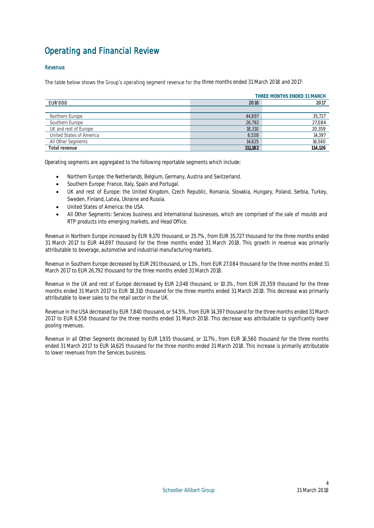## <span id="page-4-0"></span>Operating and Financial Review

## Revenue

The table below shows the Group's operating segment revenue for the three months ended 31 March 2018 and 2017:

|                          | THREE MONTHS ENDED 31 MARCH |         |  |
|--------------------------|-----------------------------|---------|--|
| EUR'000                  | 2017<br>2018                |         |  |
|                          |                             |         |  |
| Northern Europe          | 44,897                      | 35,727  |  |
| Southern Europe          | 26,792                      | 27,084  |  |
| UK and rest of Europe    | 18,310                      | 20,359  |  |
| United States of America | 6.558                       | 14,397  |  |
| All Other Segments       | 14,625                      | 16,560  |  |
| Total revenue            | 111.182                     | 114.126 |  |

Operating segments are aggregated to the following reportable segments which include:

- Northern Europe: the Netherlands, Belgium, Germany, Austria and Switzerland.
- Southern Europe: France, Italy, Spain and Portugal.
- UK and rest of Europe: the United Kingdom, Czech Republic, Romania, Slovakia, Hungary, Poland, Serbia, Turkey, Sweden, Finland, Latvia, Ukraine and Russia.
- **.** United States of America: the USA.
- All Other Segments: Services business and International businesses, which are comprised of the sale of moulds and RTP products into emerging markets, and Head Office.

Revenue in Northern Europe increased by EUR 9,170 thousand, or 25.7%, from EUR 35,727 thousand for the three months ended 31 March 2017 to EUR 44,897 thousand for the three months ended 31 March 2018. This growth in revenue was primarily attributable to beverage, automotive and industrial manufacturing markets.

Revenue in Southern Europe decreased by EUR 291 thousand, or 1.1%, from EUR 27,084 thousand for the three months ended 31 March 2017 to EUR 26,792 thousand for the three months ended 31 March 2018.

Revenue in the UK and rest of Europe decreased by EUR 2,048 thousand, or 10.1%, from EUR 20,359 thousand for the three months ended 31 March 2017 to EUR 18,310 thousand for the three months ended 31 March 2018. This decrease was primarily attributable to lower sales to the retail sector in the UK.

Revenue in the USA decreased by EUR 7,840 thousand, or 54.5%, from EUR 14,397 thousand for the three months ended 31 March 2017 to EUR 6,558 thousand for the three months ended 31 March 2018. This decrease was attributable to significantly lower pooling revenues.

Revenue in all Other Segments decreased by EUR 1,935 thousand, or 11.7%, from EUR 16,560 thousand for the three months ended 31 March 2017 to EUR 14,625 thousand for the three months ended 31 March 2018. This increase is primarily attributable to lower revenues from the Services business.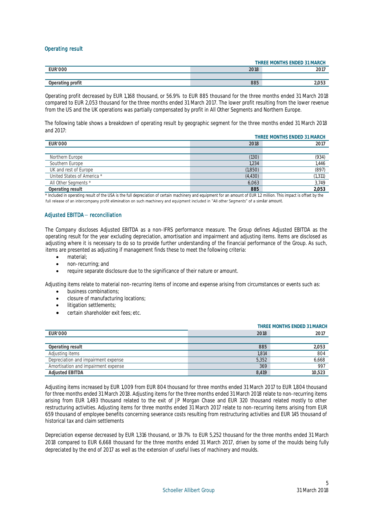## Operating result

|                  | THREE MONTHS ENDED 31 MARCH |                        |  |
|------------------|-----------------------------|------------------------|--|
| <b>EUR'000</b>   | 2018<br>2017<br>ZUI         |                        |  |
|                  |                             |                        |  |
| Operating profit | 885                         | $\cap - \cap$<br>L.UJJ |  |

Operating profit decreased by EUR 1,168 thousand, or 56.9% to EUR 885 thousand for the three months ended 31 March 2018 compared to EUR 2,053 thousand for the three months ended 31 March 2017. The lower profit resulting from the lower revenue from the US and the UK operations was partially compensated by profit in All Other Segments and Northern Europe.

The following table shows a breakdown of operating result by geographic segment for the three months ended 31 March 2018 and 2017:

|                            | THREE MONTHS ENDED 31 MARCH |          |  |
|----------------------------|-----------------------------|----------|--|
| <b>EUR'000</b>             | 2018<br>2017                |          |  |
|                            |                             |          |  |
| Northern Europe            | (130)                       | (934)    |  |
| Southern Europe            | 1,234                       | 1.446    |  |
| UK and rest of Europe      | (1,850)                     | (897)    |  |
| United States of America * | (4,430)                     | (1, 311) |  |
| All Other Segments *       | 6.063                       | 3.749    |  |
| Operating result           | 885                         | 2,053    |  |

\* Included in operating result of the USA is the full depreciation of certain machinery and equipment for an amount of EUR 1.2 million. This impact is offset by the full release of an intercompany profit elimination on such machinery and equipment included in "All other Segments" of a similar amount.

## Adjusted EBITDA- reconciliation

The Company discloses Adjusted EBITDA as a non-IFRS performance measure. The Group defines Adjusted EBITDA as the operating result for the year excluding depreciation, amortisation and impairment and adjusting items. Items are disclosed as adjusting where it is necessary to do so to provide further understanding of the financial performance of the Group. As such, items are presented as adjusting if management finds these to meet the following criteria:

- material;
- non-recurring; and
- require separate disclosure due to the significance of their nature or amount.

Adjusting items relate to material non-recurring items of income and expense arising from circumstances or events such as:

- business combinations;
- **•** closure of manufacturing locations;
- litigation settlements;
- certain shareholder exit fees; etc.

|                                     | THREE MONTHS ENDED 31 MARCH |        |  |
|-------------------------------------|-----------------------------|--------|--|
| <b>EUR'000</b>                      | 2018                        | 2017   |  |
|                                     |                             |        |  |
| Operating result                    | 885                         | 2.053  |  |
| Adjusting items                     | 1.814                       | 804    |  |
| Depreciation and impairment expense | 5.352                       | 6,668  |  |
| Amortisation and impairment expense | 369                         | 997    |  |
| <b>Adjusted EBITDA</b>              | 8.419                       | 10.523 |  |

Adjusting items increased by EUR 1,009 from EUR 804 thousand for three months ended 31 March 2017 to EUR 1,804 thousand for three months ended 31 March 2018. Adjusting items for the three months ended 31 March 2018 relate to non-recurring items arising from EUR 1,493 thousand related to the exit of JP Morgan Chase and EUR 320 thousand related mostly to other restructuring activities. Adjusting items for three months ended 31 March 2017 relate to non-recurring items arising from EUR 659 thousand of employee benefits concerning severance costs resulting from restructuring activities and EUR 145 thousand of historical tax and claim settlements

Depreciation expense decreased by EUR 1,316 thousand, or 19.7% to EUR 5,252 thousand for the three months ended 31 March 2018 compared to EUR 6,668 thousand for the three months ended 31 March 2017, driven by some of the moulds being fully depreciated by the end of 2017 as well as the extension of useful lives of machinery and moulds.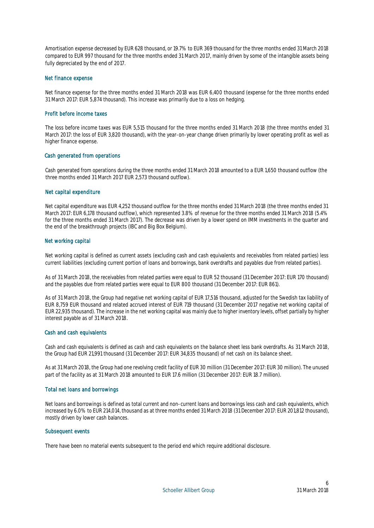Amortisation expense decreased by EUR 628 thousand, or 19.7% to EUR 369 thousand for the three months ended 31 March 2018 compared to EUR 997 thousand for the three months ended 31 March 2017, mainly driven by some of the intangible assets being fully depreciated by the end of 2017.

### Net finance expense

Net finance expense for the three months ended 31 March 2018 was EUR 6,400 thousand (expense for the three months ended 31 March 2017: EUR 5,874 thousand). This increase was primarily due to a loss on hedging.

### Profit before income taxes

The loss before income taxes was EUR 5,515 thousand for the three months ended 31 March 2018 (the three months ended 31 March 2017: the loss of EUR 3,820 thousand), with the year-on-year change driven primarily by lower operating profit as well as higher finance expense.

## Cash generated from operations

Cash generated from operations during the three months ended 31 March 2018 amounted to a EUR 1,650 thousand outflow (the three months ended 31 March 2017 EUR 2,573 thousand outflow).

### Net capital expenditure

Net capital expenditure was EUR 4,252 thousand outflow for the three months ended 31 March 2018 (the three months ended 31 March 2017: EUR 6,178 thousand outflow), which represented 3.8% of revenue for the three months ended 31 March 2018 (5.4% for the three months ended 31 March 2017). The decrease was driven by a lower spend on IMM investments in the quarter and the end of the breakthrough projects (IBC and Big Box Belgium).

### Net working capital

Net working capital is defined as current assets (excluding cash and cash equivalents and receivables from related parties) less current liabilities (excluding current portion of loans and borrowings, bank overdrafts and payables due from related parties).

As of 31 March 2018, the receivables from related parties were equal to EUR 52 thousand (31 December 2017: EUR 170 thousand) and the payables due from related parties were equal to EUR 800 thousand (31 December 2017: EUR 861).

As of 31 March 2018, the Group had negative net working capital of EUR 17,516 thousand, adjusted for the Swedish tax liability of EUR 8,759 EUR thousand and related accrued interest of EUR 719 thousand (31 December 2017 negative net working capital of EUR 22,935 thousand). The increase in the net working capital was mainly due to higher inventory levels, offset partially by higher interest payable as of 31 March 2018.

#### Cash and cash equivalents

Cash and cash equivalents is defined as cash and cash equivalents on the balance sheet less bank overdrafts. As 31 March 2018, the Group had EUR 21,991 thousand (31 December 2017: EUR 34,835 thousand) of net cash on its balance sheet.

As at 31 March 2018, the Group had one revolving credit facility of EUR 30 million (31 December 2017: EUR 30 million). The unused part of the facility as at 31 March 2018 amounted to EUR 17.6 million (31 December 2017: EUR 18.7 million).

## Total net loans and borrowings

Net loans and borrowings is defined as total current and non-current loans and borrowings less cash and cash equivalents, which increased by 6.0% to EUR 214,014, thousand as at three months ended 31 March 2018 (31 December 2017: EUR 201,812 thousand), mostly driven by lower cash balances.

#### Subsequent events

There have been no material events subsequent to the period end which require additional disclosure.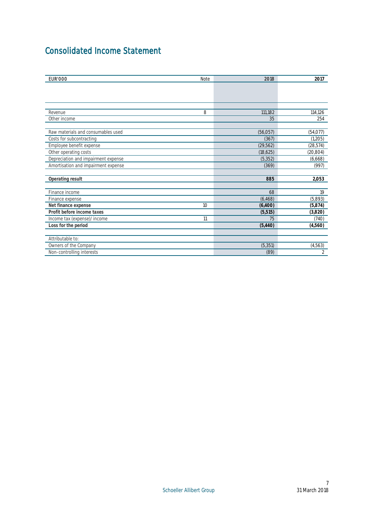## <span id="page-7-0"></span>Consolidated Income Statement

| <b>EUR'000</b>                      | Note | 2018      | 2017           |
|-------------------------------------|------|-----------|----------------|
|                                     |      |           |                |
|                                     |      |           |                |
|                                     |      |           |                |
|                                     |      |           |                |
| Revenue                             | 8    | 111,182   | 114,126        |
| Other income                        |      | 35        | 254            |
| Raw materials and consumables used  |      | (56, 057) | (54, 077)      |
| Costs for subcontracting            |      | (367)     | (1,205)        |
| Employee benefit expense            |      | (29, 562) | (28, 574)      |
| Other operating costs               |      | (18,625)  | (20, 804)      |
| Depreciation and impairment expense |      | (5, 352)  | (6,668)        |
| Amortisation and impairment expense |      | (369)     | (997)          |
| Operating result                    |      | 885       | 2,053          |
|                                     |      |           |                |
| Finance income                      |      | 68        | 19             |
| Finance expense                     |      | (6, 468)  | (5,893)        |
| Net finance expense                 | 10   | (6,400)   | (5,874)        |
| Profit before income taxes          |      | (5, 515)  | (3,820)        |
| Income tax (expense)/income         | 11   | 75        | (740)          |
| Loss for the period                 |      | (5,440)   | (4,560)        |
| Attributable to:                    |      |           |                |
| Owners of the Company               |      | (5, 351)  | (4, 563)       |
| Non-controlling interests           |      | (89)      | $\mathfrak{D}$ |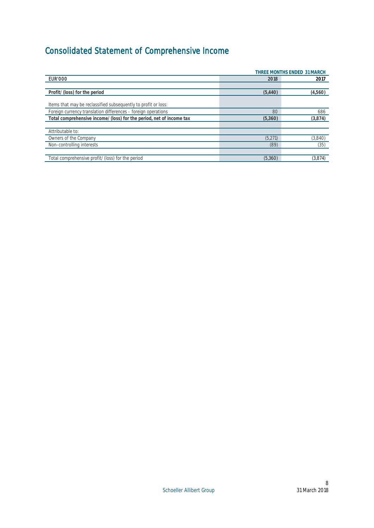# <span id="page-8-0"></span>Consolidated Statement of Comprehensive Income

|                                                                     | THREE MONTHS ENDED 31 MARCH |         |  |
|---------------------------------------------------------------------|-----------------------------|---------|--|
| <b>EUR'000</b>                                                      | 2018                        | 2017    |  |
|                                                                     |                             |         |  |
| Profit/(loss) for the period                                        | (5,440)                     | (4,560) |  |
| Items that may be reclassified subsequently to profit or loss:      |                             |         |  |
| Foreign currency translation differences - foreign operations       | 80                          | 686     |  |
| Total comprehensive income/(loss) for the period, net of income tax | (5,360)                     | (3,874) |  |
|                                                                     |                             |         |  |
| Attributable to:                                                    |                             |         |  |
| Owners of the Company                                               | (5,271)                     | (3,840) |  |
| Non-controlling interests                                           | (89)                        | (35)    |  |
|                                                                     |                             |         |  |
| Total comprehensive profit/(loss) for the period                    | (5,360)                     | (3,874) |  |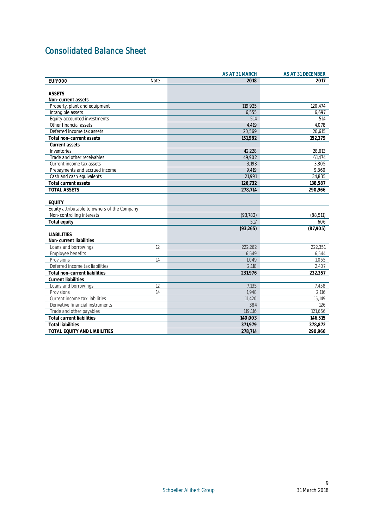## <span id="page-9-0"></span>Consolidated Balance Sheet

|                                              |      | AS AT 31 MARCH | AS AT 31 DECEMBER |
|----------------------------------------------|------|----------------|-------------------|
| <b>EUR'000</b>                               | Note | 2018           | 2017              |
|                                              |      |                |                   |
| <b>ASSETS</b>                                |      |                |                   |
| Non-current assets                           |      |                |                   |
| Property, plant and equipment                |      | 119,925        | 120,474           |
| Intangible assets                            |      | 6,555          | 6,697             |
| Equity accounted investments                 |      | 514            | 514               |
| Other financial assets                       |      | 4,419          | 4.078             |
| Deferred income tax assets                   |      | 20,569         | 20,615            |
| Total non-current assets                     |      | 151,982        | 152,379           |
| Current assets                               |      |                |                   |
| Inventories                                  |      | 42.228         | 28,613            |
| Trade and other receivables                  |      | 49.902         | 61.474            |
| Current income tax assets                    |      | 3,193          | 3,805             |
| Prepayments and accrued income               |      | 9,419          | 9,860             |
| Cash and cash equivalents                    |      | 21,991         | 34,835            |
| Total current assets                         |      | 126,732        | 138,587           |
| TOTAL ASSETS                                 |      | 278,714        | 290,966           |
|                                              |      |                |                   |
| <b>EQUITY</b>                                |      |                |                   |
| Equity attributable to owners of the Company |      |                |                   |
| Non-controlling interests                    |      | (93, 782)      | (88, 511)         |
| Total equity                                 |      | 517            | 606               |
|                                              |      | (93, 265)      | (87,905)          |
| <b>LIABILITIES</b>                           |      |                |                   |
| Non-current liabilities                      |      |                |                   |
| Loans and borrowings                         | 12   | 222,262        | 222,351           |
| Employee benefits                            |      | 6.549          | 6.544             |
| Provisions                                   | 14   | 1,049          | 1,055             |
| Deferred income tax liabilities              |      | 2,118          | 2,407             |
| Total non-current liabilities                |      | 231,976        | 232,357           |
| <b>Current liabilities</b>                   |      |                |                   |
| Loans and borrowings                         | 12   | 7,135          | 7,458             |
| Provisions                                   | 14   | 1.948          | 2,116             |
| Current income tax liabilities               |      | 11,420         | 15,149            |
| Derivative financial instruments             |      | 384            | 126               |
| Trade and other payables                     |      | 119,116        | 121,666           |
| Total current liabilities                    |      | 140,003        | 146,515           |
| <b>Total liabilities</b>                     |      | 371,979        | 378,872           |
| TOTAL EQUITY AND LIABILITIES                 |      | 278,714        | 290,966           |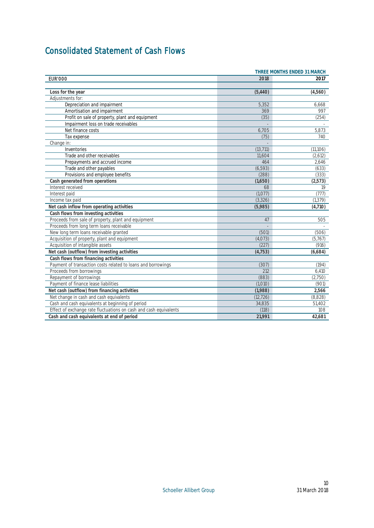## <span id="page-10-0"></span>Consolidated Statement of Cash Flows

| THREE MONTHS ENDED 31 MARCH                                       |           |           |
|-------------------------------------------------------------------|-----------|-----------|
| <b>EUR'000</b>                                                    | 2018      | 2017      |
|                                                                   |           |           |
| Loss for the year                                                 | (5,440)   | (4,560)   |
| Adjustments for:                                                  |           |           |
| Depreciation and impairment                                       | 5,352     | 6,668     |
| Amortisation and impairment                                       | 369       | 997       |
| Profit on sale of property, plant and equipment                   | (35)      | (254)     |
| Impairment loss on trade receivables                              |           |           |
| Net finance costs                                                 | 6,705     | 5,873     |
| Tax expense                                                       | (75)      | 740       |
| Change in:                                                        |           |           |
| Inventories                                                       | (13, 711) | (11, 106) |
| Trade and other receivables                                       | 11.604    | (2.612)   |
| Prepayments and accrued income                                    | 464       | 2,646     |
| Trade and other payables                                          | (6, 593)  | (633)     |
| Provisions and employee benefits                                  | (288)     | (333)     |
| Cash generated from operations                                    | (1,650)   | (2, 573)  |
| Interest received                                                 | 68        | 19        |
| Interest paid                                                     | (1,077)   | (777)     |
| Income tax paid                                                   | (3, 326)  | (1, 379)  |
| Net cash inflow from operating activities                         | (5,985)   | (4,710)   |
| Cash flows from investing activities                              |           |           |
| Proceeds from sale of property, plant and equipment               | 47        | 505       |
| Proceeds from long term loans receivable                          |           |           |
| New long term loans receivable granted                            | (501)     | (506)     |
| Acquisition of property, plant and equipment                      | (4,073)   | (5,767)   |
| Acquisition of intangible assets                                  | (227)     | (916)     |
| Net cash (outflow) from investing activities                      | (4, 753)  | (6,684)   |
| Cash flows from financing activities                              |           |           |
| Payment of transaction costs related to loans and borrowings      | (307)     | (194)     |
| Proceeds from borrowings                                          | 212       | 6,410     |
| Repayment of borrowings                                           | (883)     | (2,750)   |
| Payment of finance lease liabilities                              | (1.010)   | (901)     |
| Net cash (outflow) from financing activities                      | (1,988)   | 2,566     |
| Net change in cash and cash equivalents                           | (12, 726) | (8,828)   |
| Cash and cash equivalents at beginning of period                  | 34,835    | 51,402    |
| Effect of exchange rate fluctuations on cash and cash equivalents | (118)     | 108       |
| Cash and cash equivalents at end of period                        | 21,991    | 42.681    |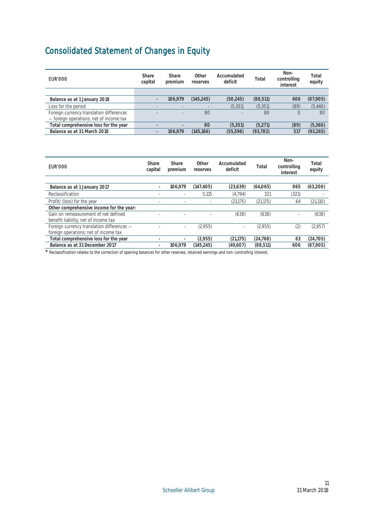## <span id="page-11-0"></span>Consolidated Statement of Changes in Equity

| EUR'000                                                                             | Share<br>capital | Share<br>premium | Other<br>reserves | Accumulated<br>deficit | Total     | Non-<br>controlling<br>interest | Total<br>equity |
|-------------------------------------------------------------------------------------|------------------|------------------|-------------------|------------------------|-----------|---------------------------------|-----------------|
|                                                                                     |                  |                  |                   |                        |           |                                 |                 |
| Balance as at 1 January 2018                                                        |                  | 106.979          | (145.245)         | (50.245)               | (88, 511) | 606                             | (87,905)        |
| Loss for the period                                                                 |                  |                  |                   | (5, 351)               | (5,351)   | (89)                            | (5,440)         |
| Foreign currency translation differences<br>- foreign operations; net of income tax |                  |                  | 80                |                        | 80        |                                 | 80              |
| Total comprehensive loss for the year                                               |                  |                  | 80                | (5.351)                | (5.271)   | (89)                            | (5,360)         |
| Balance as at 31 March 2018                                                         |                  | 106.979          | (145.166)         | (55.596)               | (93, 782) | 517                             | (93, 265)       |

| EUR'000                                    | Share<br>capital         | <b>Share</b><br>premium | Other<br>reserves | Accumulated<br>deficit   | Total     | Non-<br>controlling<br>interest | Total<br>equity |
|--------------------------------------------|--------------------------|-------------------------|-------------------|--------------------------|-----------|---------------------------------|-----------------|
|                                            |                          |                         |                   |                          |           |                                 |                 |
| Balance as at 1 January 2017               |                          | 106.979                 | (147, 405)        | (23, 639)                | (64,065)  | 865                             | (63,200)        |
| Reclassification                           |                          |                         | 5.115             | (4.794)                  | 321       | (321)                           |                 |
| Profit/(loss) for the year                 |                          |                         |                   | (21, 175)                | (21, 175) | 64                              | (21, 110)       |
| Other comprehensive income for the year:   |                          |                         |                   |                          |           |                                 |                 |
| Gain on remeasurement of net defined       |                          |                         |                   | (638)                    | (638)     | -                               | (638)           |
| benefit liability, net of income tax       |                          |                         |                   |                          |           |                                 |                 |
| Foreign currency translation differences - |                          |                         | (2,955)           | $\overline{\phantom{a}}$ | (2,955)   | (2)                             | (2,957)         |
| foreign operations; net of income tax      |                          |                         |                   |                          |           |                                 |                 |
| Total comprehensive loss for the year      |                          |                         | (2.955)           | (21.175)                 | (24.768)  | 63                              | (24, 705)       |
| Balance as at 31 December 2017             | $\overline{\phantom{0}}$ | 106.979                 | (145.245)         | (49.607)                 | (88, 511) | 606                             | (87,905)        |

\* Reclassification relates to the correction of opening balances for other reserves, retained earnings and non-controlling interest.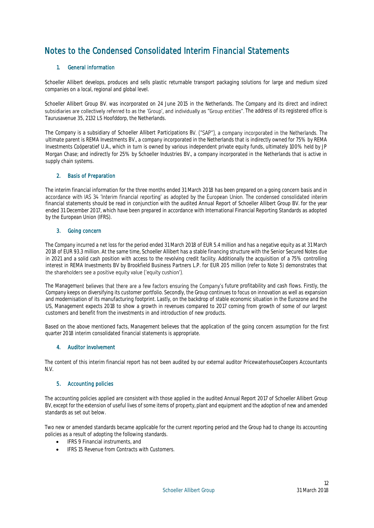## <span id="page-12-0"></span>Notes to the Condensed Consolidated Interim Financial Statements

## 1. General information

Schoeller Allibert develops, produces and sells plastic returnable transport packaging solutions for large and medium sized companies on a local, regional and global level.

Schoeller Allibert Group BV. was incorporated on 24 June 2015 in the Netherlands. The Company and its direct and indirect subsidiaries are collectively referred to as the 'Group', and individually as "Group entities". The address of its registered office is Taurusavenue 35, 2132 LS Hoofddorp, the Netherlands.

The Company is a subsidiary of Schoeller Allibert Participations BV. ("SAP"), a company incorporated in the Netherlands. The ultimate parent is REMA Investments BV., a company incorporated in the Netherlands that is indirectly owned for 75% by REMA Investments Coöperatief U.A., which in turn is owned by various independent private equity funds, ultimately 100% held by JP Morgan Chase; and indirectly for 25% by Schoeller Industries BV., a company incorporated in the Netherlands that is active in supply chain systems.

## 2. Basis of Preparation

The interim financial information for the three months ended 31 March 2018 has been prepared on a going concern basis and in accordance with IAS 34 'Interim financial reporting' as adopted by the European Union. The condensed consolidated interim financial statements should be read in conjunction with the audited Annual Report of Schoeller Allibert Group BV. for the year ended 31 December 2017, which have been prepared in accordance with International Financial Reporting Standards as adopted by the European Union (IFRS).

## 3. Going concern

The Company incurred a net loss for the period ended 31 March 2018 of EUR 5.4 million and has a negative equity as at 31 March 2018 of EUR 93.3 million. At the same time, Schoeller Allibert has a stable financing structure with the Senior Secured Notes due in 2021 and a solid cash position with access to the revolving credit facility. Additionally the acquisition of a 75% controlling interest in REMA Investments BV by Brookfield Business Partners L.P. for EUR 205 million (refer to Note 5) demonstrates that the shareholders see a positive equity value ('equity cushion').

The Management believes that there are a few factors ensuring the Company's future profitability and cash flows. Firstly, the Company keeps on diversifying its customer portfolio. Secondly, the Group continues to focus on innovation as well as expansion and modernisation of its manufacturing footprint. Lastly, on the backdrop of stable economic situation in the Eurozone and the US, Management expects 2018 to show a growth in revenues compared to 2017 coming from growth of some of our largest customers and benefit from the investments in and introduction of new products.

Based on the above mentioned facts, Management believes that the application of the going concern assumption for the first quarter 2018 interim consolidated financial statements is appropriate.

## 4. Auditor involvement

The content of this interim financial report has not been audited by our external auditor PricewaterhouseCoopers Accountants N.V.

## 5. Accounting policies

The accounting policies applied are consistent with those applied in the audited Annual Report 2017 of Schoeller Allibert Group BV, except for the extension of useful lives of some items of property, plant and equipment and the adoption of new and amended standards as set out below.

Two new or amended standards became applicable for the current reporting period and the Group had to change its accounting policies as a result of adopting the following standards.

- IFRS 9 Financial instruments, and
- IFRS 15 Revenue from Contracts with Customers.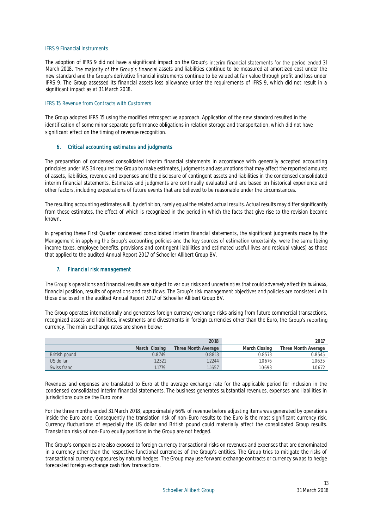### IFRS 9 Financial Instruments

The adoption of IFRS 9 did not have a significant impact on the Group's interim financial statements for the period ended 31 March 2018. The majority of the Group's financial assets and liabilities continue to be measured at amortized cost under the new standard and the Group's derivative financial instruments continue to be valued at fair value through profit and loss under IFRS 9. The Group assessed its financial assets loss allowance under the requirements of IFRS 9, which did not result in a significant impact as at 31 March 2018.

#### IFRS 15 Revenue from Contracts with Customers

The Group adopted IFRS 15 using the modified retrospective approach. Application of the new standard resulted in the identification of some minor separate performance obligations in relation storage and transportation, which did not have significant effect on the timing of revenue recognition.

## 6. Critical accounting estimates and judgments

The preparation of condensed consolidated interim financial statements in accordance with generally accepted accounting principles under IAS 34 requires the Group to make estimates, judgments and assumptions that may affect the reported amounts of assets, liabilities, revenue and expenses and the disclosure of contingent assets and liabilities in the condensed consolidated interim financial statements. Estimates and judgments are continually evaluated and are based on historical experience and other factors, including expectations of future events that are believed to be reasonable under the circumstances.

The resulting accounting estimates will, by definition, rarely equal the related actual results. Actual results may differ significantly from these estimates, the effect of which is recognized in the period in which the facts that give rise to the revision become known.

In preparing these First Quarter condensed consolidated interim financial statements, the significant judgments made by the Management in applying the Group's accounting policies and the key sources of estimation uncertainty, were the same (being income taxes, employee benefits, provisions and contingent liabilities and estimated useful lives and residual values) as those that applied to the audited Annual Report 2017 of Schoeller Allibert Group BV.

## 7. Financial risk management

The Group's operations and financial results are subject to various risks and uncertainties that could adversely affect its business, financial position, results of operations and cash flows. The Group's risk management objectives and policies are consistent with those disclosed in the audited Annual Report 2017 of Schoeller Allibert Group BV.

The Group operates internationally and generates foreign currency exchange risks arising from future commercial transactions, recognized assets and liabilities, investments and divestments in foreign currencies other than the Euro, the Group's reporting currency. The main exchange rates are shown below:

|               |               | 2018                |               | 201                 |
|---------------|---------------|---------------------|---------------|---------------------|
|               | March Closing | Three Month Average | March Closing | Three Month Average |
| British pound | 0.8749        | 0.8813              | 0.8573        | 0.8545              |
| U.S dollar    | .2321         | 1.2244              | 1.0676        | 1.0635              |
| Swiss franc   | 11779         | 1.1657              | 1.0693        | 1.0672              |

Revenues and expenses are translated to Euro at the average exchange rate for the applicable period for inclusion in the condensed consolidated interim financial statements. The business generates substantial revenues, expenses and liabilities in jurisdictions outside the Euro zone.

For the three months ended 31 March 2018, approximately 66% of revenue before adjusting items was generated by operations inside the Euro zone. Consequently the translation risk of non-Euro results to the Euro is the most significant currency risk. Currency fluctuations of especially the US dollar and British pound could materially affect the consolidated Group results. Translation risks of non-Euro equity positions in the Group are not hedged.

The Group's companies are also exposed to foreign currency transactional risks on revenues and expenses that are denominated in a currency other than the respective functional currencies of the Group's entities. The Group tries to mitigate the risks of transactional currency exposures by natural hedges. The Group may use forward exchange contracts or currency swaps to hedge forecasted foreign exchange cash flow transactions.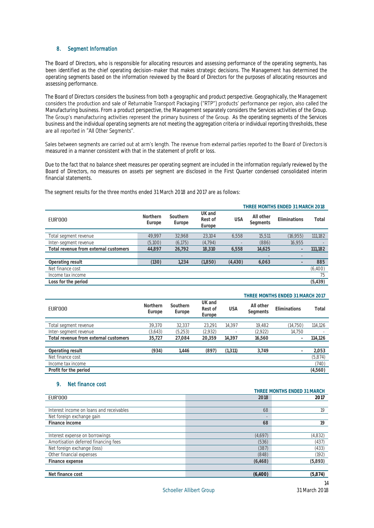### 8. Segment Information

The Board of Directors, who is responsible for allocating resources and assessing performance of the operating segments, has been identified as the chief operating decision-maker that makes strategic decisions. The Management has determined the operating segments based on the information reviewed by the Board of Directors for the purposes of allocating resources and assessing performance.

The Board of Directors considers the business from both a geographic and product perspective. Geographically, the Management considers the production and sale of Returnable Transport Packaging ("RTP") products' performance Manufacturing business. From a product perspective, the Management separately considers the Services activities of the Group. The Group's manufacturing activities represent the primary business of the Group. As the operating segments of the Services business and the individual operating segments are not meeting the aggregation criteria or individual reporting thresholds, these are all reported in "All Other Segments".

Sales between segments are carried out at arm's length. The revenue from external parties reported to the Board of Directors is measured in a manner consistent with that in the statement of profit or loss.

Due to the fact that no balance sheet measures per operating segment are included in the information regularly reviewed by the Board of Directors, no measures on assets per segment are disclosed in the First Quarter condensed consolidated interim financial statements.

The segment results for the three months ended 31 March 2018 and 2017 are as follows:

| THREE MONTHS ENDED 31 MARCH 2018 |                    |                             |            |                       |                   |           |
|----------------------------------|--------------------|-----------------------------|------------|-----------------------|-------------------|-----------|
| Northern<br>Europe               | Southern<br>Europe | UK and<br>Rest of<br>Europe | <b>USA</b> | All other<br>Segments | Fliminations      | Total     |
|                                  |                    |                             |            |                       |                   |           |
|                                  |                    |                             |            |                       |                   | 111,182   |
| (5,100)                          | (6, 175)           | (4.794)                     |            | (886)                 | 16.955            |           |
| 44,897                           | 26,792             | 18.310                      | 6,558      | 14,625                |                   | 111,182   |
|                                  |                    |                             |            |                       | $\qquad \qquad -$ |           |
| (130)                            | 1,234              | (1,850)                     | (4, 430)   | 6,063                 |                   | 885       |
|                                  |                    |                             |            |                       |                   | (6,400)   |
|                                  |                    |                             |            |                       |                   | 75        |
|                                  |                    |                             |            |                       |                   | (5, 439)  |
|                                  | 49.997             | 32,968                      | 23.104     | 6.558                 | 15.511            | (16, 955) |

|                                       |                    |                    |                             |            |                       | THINEE IVIOINTHO ENDED OF IVIAINOITZOTI |          |
|---------------------------------------|--------------------|--------------------|-----------------------------|------------|-----------------------|-----------------------------------------|----------|
| <b>EUR'000</b>                        | Northern<br>Europe | Southern<br>Europe | UK and<br>Rest of<br>Europe | <b>USA</b> | All other<br>Segments | Eliminations                            | Total    |
|                                       |                    |                    |                             |            |                       |                                         |          |
| Total segment revenue                 | 39.370             | 32.337             | 23.291                      | 14.397     | 19.482                | (14, 750)                               | 114,126  |
| Inter-segment revenue                 | (3,643)            | (5,253)            | (2,932)                     |            | (2,922)               | 14,750                                  |          |
| Total revenue from external customers | 35,727             | 27,084             | 20.359                      | 14.397     | 16,560                |                                         | 114,126  |
|                                       |                    |                    |                             |            |                       |                                         |          |
| Operating result                      | (934)              | .446               | (897)                       | (1, 311)   | 3.749                 |                                         | 2,053    |
| Net finance cost                      |                    |                    |                             |            |                       |                                         | (5, 874) |
| Income tax income                     |                    |                    |                             |            |                       |                                         | (740)    |
| Profit for the period                 |                    |                    |                             |            |                       |                                         | (4,560)  |

#### 9. Net finance cost

|                                          |          | THREE MONTHS ENDED 31 MARCH |
|------------------------------------------|----------|-----------------------------|
| <b>EUR'000</b>                           | 2018     | 2017                        |
|                                          |          |                             |
| Interest income on loans and receivables | 68       | 19                          |
| Net foreign exchange gain                |          |                             |
| Finance income                           | 68       | 19                          |
|                                          |          |                             |
| Interest expense on borrowings           | (4,697)  | (4,832)                     |
| Amortisation deferred financing fees     | (536)    | (437)                       |
| Net foreign exchange (loss)              | (387)    | (433)                       |
| Other financial expenses                 | (848)    | (192)                       |
| Finance expense                          | (6, 468) | (5,893)                     |
|                                          |          |                             |
| Net finance cost                         | (6,400)  | (5,874)                     |
|                                          |          |                             |

**THREE MONTHS ENDED 31 MARCH 2017**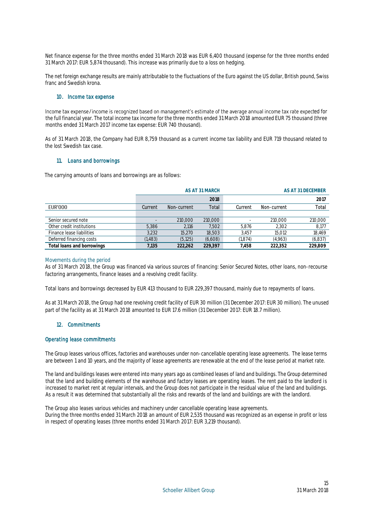Net finance expense for the three months ended 31 March 2018 was EUR 6,400 thousand (expense for the three months ended 31 March 2017: EUR 5,874 thousand). This increase was primarily due to a loss on hedging.

The net foreign exchange results are mainly attributable to the fluctuations of the Euro against the US dollar, British pound, Swiss franc and Swedish krona.

#### 10. Income tax expense

Income tax expense/income is recognized based on management's estimate of the average annual income tax rate expected for the full financial year. The total income tax income for the three months ended 31 March 2018 amounted EUR 75 thousand (three months ended 31 March 2017 income tax expense: EUR 740 thousand).

As of 31 March 2018, the Company had EUR 8,759 thousand as a current income tax liability and EUR 719 thousand related to the lost Swedish tax case.

## 11. Loans and borrowings

The carrying amounts of loans and borrowings are as follows:

|                            |         |             | AS AT 31 MARCH |         |             | AS AT 31 DECEMBER |
|----------------------------|---------|-------------|----------------|---------|-------------|-------------------|
|                            |         |             | 2018           |         |             | 2017              |
| EUR'000                    | Current | Non-current | Total          | Current | Non-current | Total             |
|                            |         |             |                |         |             |                   |
| Senior secured note        |         | 210,000     | 210,000        |         | 210.000     | 210,000           |
| Other credit institutions  | 5.386   | 2.116       | 7.502          | 5.876   | 2,302       | 8,177             |
| Finance lease liabilities  | 3,232   | 15.270      | 18,503         | 3.457   | 15,012      | 18,469            |
| Deferred financing costs   | (1,483) | (5, 125)    | (6,608)        | (1,874) | (4,963)     | (6, 837)          |
| Total loans and borrowings | 7.135   | 222.262     | 229.397        | 7.458   | 222.352     | 229.809           |

#### Movements during the period

As of 31 March 2018, the Group was financed via various sources of financing: Senior Secured Notes, other loans, non-recourse factoring arrangements, finance leases and a revolving credit facility.

Total loans and borrowings decreased by EUR 413 thousand to EUR 229,397 thousand, mainly due to repayments of loans.

As at 31 March 2018, the Group had one revolving credit facility of EUR 30 million (31 December 2017: EUR 30 million). The unused part of the facility as at 31 March 2018 amounted to EUR 17.6 million (31 December 2017: EUR 18.7 million).

## 12. Commitments

### Operating lease commitments

The Group leases various offices, factories and warehouses under non-cancellable operating lease agreements. The lease terms are between 1 and 10 years, and the majority of lease agreements are renewable at the end of the lease period at market rate.

The land and buildings leases were entered into many years ago as combined leases of land and buildings. The Group determined that the land and building elements of the warehouse and factory leases are operating leases. The rent paid to the landlord is increased to market rent at regular intervals, and the Group does not participate in the residual value of the land and buildings. As a result it was determined that substantially all the risks and rewards of the land and buildings are with the landlord.

The Group also leases various vehicles and machinery under cancellable operating lease agreements. During the three months ended 31 March 2018 an amount of EUR 2,535 thousand was recognized as an expense in profit or loss in respect of operating leases (three months ended 31 March 2017: EUR 3,219 thousand).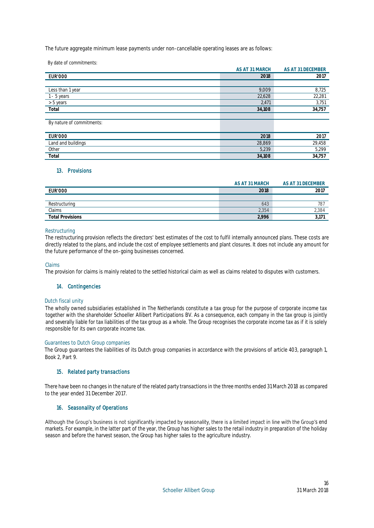The future aggregate minimum lease payments under non-cancellable operating leases are as follows:

By date of commitments:

|                           | AS AT 31 MARCH | AS AT 31 DECEMBER |
|---------------------------|----------------|-------------------|
| <b>EUR'000</b>            | 2018           | 2017              |
|                           |                |                   |
| Less than 1 year          | 9,009          | 8,725             |
| 1 - 5 years               | 22,628         | 22,281            |
| > 5 years                 | 2,471          | 3,751             |
| Total                     | 34,108         | 34,757            |
|                           |                |                   |
| By nature of commitments: |                |                   |
|                           |                |                   |
| <b>EUR'000</b>            | 2018           | 2017              |
| Land and buildings        | 28,869         | 29,458            |
| Other                     | 5,239          | 5,299             |
| Total                     | 34,108         | 34,757            |
|                           |                |                   |

## 13. Provisions

|                         | AS AT 31 MARCH | AS AT 31 DECEMBER |
|-------------------------|----------------|-------------------|
| <b>EUR'000</b>          | 2018           | 2017              |
|                         |                |                   |
| Restructuring           | 643            | 78.               |
| Claims                  | 2.354          | 2,384             |
| <b>Total Provisions</b> | 2.996          | ا ر ب             |

### Restructuring

The restructuring provision reflects the directors' best estimates of the cost to fulfil internally announced plans. These costs are directly related to the plans, and include the cost of employee settlements and plant closures. It does not include any amount for the future performance of the on-going businesses concerned.

Claims

The provision for claims is mainly related to the settled historical claim as well as claims related to disputes with customers.

## 14. Contingencies

#### Dutch fiscal unity

The wholly owned subsidiaries established in The Netherlands constitute a tax group for the purpose of corporate income tax together with the shareholder Schoeller Allibert Participations BV. As a consequence, each company in the tax group is jointly and severally liable for tax liabilities of the tax group as a whole. The Group recognises the corporate income tax as if it is solely responsible for its own corporate income tax.

#### Guarantees to Dutch Group companies

The Group guarantees the liabilities of its Dutch group companies in accordance with the provisions of article 403, paragraph 1, Book 2, Part 9.

## 15. Related party transactions

There have been no changes in the nature of the related party transactions in the three months ended 31 March 2018 as compared to the year ended 31 December 2017.

## 16. Seasonality of Operations

Although the Group's business is not significantly impacted by seasonality, there is a limited impact in line with the Group's end markets. For example, in the latter part of the year, the Group has higher sales to the retail industry in preparation of the holiday season and before the harvest season, the Group has higher sales to the agriculture industry.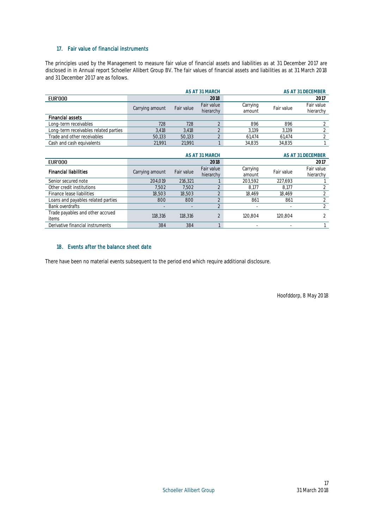## 17. Fair value of financial instruments

The principles used by the Management to measure fair value of financial assets and liabilities as at 31 December 2017 are disclosed in in Annual report Schoeller Allibert Group BV. The fair values of financial assets and liabilities as at 31 March 2018 and 31 December 2017 are as follows.

|                                       |                 |            | AS AT 31 MARCH          |                    |            | AS AT 31 DECEMBER       |
|---------------------------------------|-----------------|------------|-------------------------|--------------------|------------|-------------------------|
| <b>EUR'000</b>                        |                 |            | 2018                    |                    |            | 2017                    |
|                                       | Carrying amount | Fair value | Fair value<br>hierarchy | Carrying<br>amount | Fair value | Fair value<br>hierarchy |
| <b>Financial assets</b>               |                 |            |                         |                    |            |                         |
| Long-term receivables                 | 728             | 728        | $\overline{2}$          | 896                | 896        | 2                       |
| Long-term receivables related parties | 3,418           | 3,418      | $\overline{2}$          | 3,139              | 3.139      | 2                       |
| Trade and other receivables           | 50,133          | 50,133     | $\overline{2}$          | 61,474             | 61,474     | $\overline{2}$          |
| Cash and cash equivalents             | 21.991          | 21.991     |                         | 34.835             | 34,835     |                         |
|                                       |                 |            | AS AT 31 MARCH          |                    |            | AS AT 31 DECEMBER       |
| <b>EUR'000</b>                        |                 |            | 2018                    |                    |            | 2017                    |
| <b>Financial liabilities</b>          | Carrying amount | Fair value | Fair value<br>hierarchy | Carrying<br>amount | Fair value | Fair value<br>hierarchy |
| Senior secured note                   | 204.019         | 216,321    |                         | 203,592            | 227,693    |                         |
| Other credit institutions             | 7,502           | 7.502      | $\overline{2}$          | 8,177              | 8.177      | 2                       |
| Finance lease liabilities             | 18,503          | 18,503     | $\overline{2}$          | 18,469             | 18,469     | 2                       |
| Loans and payables related parties    | 800             | 800        | $\overline{2}$          | 861                | 861        | $\overline{2}$          |
|                                       |                 |            |                         |                    |            |                         |

Bank overdrafts and the contract of the contract of the contract of the contract of the contract of the contract of the contract of the contract of the contract of the contract of the contract of the contract of the contra

118,316 118,316 2 120,804 120,804 118,316 138,316 138,316 138,316 138,316 138,316 138,316 138,316 138,316 138, Derivative financial instruments 384 384 1 - - 1

## 18. Events after the balance sheet date

Trade payables and other accrued

There have been no material events subsequent to the period end which require additional disclosure.

Hoofddorp, 8 May 2018